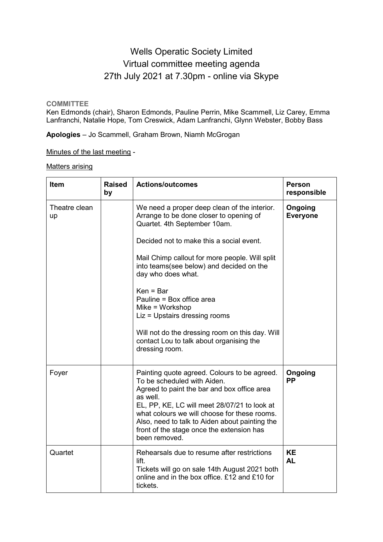## Wells Operatic Society Limited Virtual committee meeting agenda 27th July 2021 at 7.30pm - online via Skype

**COMMITTEE**

Ken Edmonds (chair), Sharon Edmonds, Pauline Perrin, Mike Scammell, Liz Carey, Emma Lanfranchi, Natalie Hope, Tom Creswick, Adam Lanfranchi, Glynn Webster, Bobby Bass

**Apologies** – Jo Scammell, Graham Brown, Niamh McGrogan

Minutes of the last meeting -

Matters arising

| <b>Item</b>         | <b>Raised</b><br>by | <b>Actions/outcomes</b>                                                                                                                                                                                                                                                                                                                                                                                                                                                                                    | <b>Person</b><br>responsible |
|---------------------|---------------------|------------------------------------------------------------------------------------------------------------------------------------------------------------------------------------------------------------------------------------------------------------------------------------------------------------------------------------------------------------------------------------------------------------------------------------------------------------------------------------------------------------|------------------------------|
| Theatre clean<br>up |                     | We need a proper deep clean of the interior.<br>Arrange to be done closer to opening of<br>Quartet. 4th September 10am.<br>Decided not to make this a social event.<br>Mail Chimp callout for more people. Will split<br>into teams(see below) and decided on the<br>day who does what.<br>$Ken = Bar$<br>Pauline = Box office area<br>$Mike = Workshop$<br>Liz = Upstairs dressing rooms<br>Will not do the dressing room on this day. Will<br>contact Lou to talk about organising the<br>dressing room. | Ongoing<br><b>Everyone</b>   |
| Foyer               |                     | Painting quote agreed. Colours to be agreed.<br>To be scheduled with Aiden.<br>Agreed to paint the bar and box office area<br>as well.<br>EL, PP, KE, LC will meet 28/07/21 to look at<br>what colours we will choose for these rooms.<br>Also, need to talk to Aiden about painting the<br>front of the stage once the extension has<br>been removed.                                                                                                                                                     | Ongoing<br><b>PP</b>         |
| Quartet             |                     | Rehearsals due to resume after restrictions<br>lift.<br>Tickets will go on sale 14th August 2021 both<br>online and in the box office. £12 and £10 for<br>tickets.                                                                                                                                                                                                                                                                                                                                         | <b>KE</b><br><b>AL</b>       |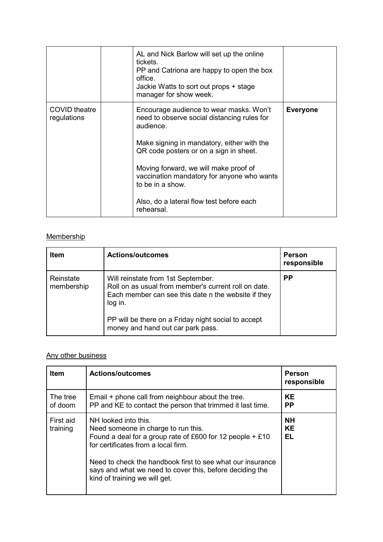|                              | AL and Nick Barlow will set up the online<br>tickets.<br>PP and Catriona are happy to open the box<br>office<br>Jackie Watts to sort out props + stage<br>manager for show week.                                                                                                                                                                                 |                 |
|------------------------------|------------------------------------------------------------------------------------------------------------------------------------------------------------------------------------------------------------------------------------------------------------------------------------------------------------------------------------------------------------------|-----------------|
| COVID theatre<br>regulations | Encourage audience to wear masks. Won't<br>need to observe social distancing rules for<br>audience.<br>Make signing in mandatory, either with the<br>QR code posters or on a sign in sheet.<br>Moving forward, we will make proof of<br>vaccination mandatory for anyone who wants<br>to be in a show.<br>Also, do a lateral flow test before each<br>rehearsal. | <b>Everyone</b> |

## **Membership**

| <b>Item</b>             | <b>Actions/outcomes</b>                                                                                                                                                                                                                                  | <b>Person</b><br>responsible |
|-------------------------|----------------------------------------------------------------------------------------------------------------------------------------------------------------------------------------------------------------------------------------------------------|------------------------------|
| Reinstate<br>membership | Will reinstate from 1st September.<br>Roll on as usual from member's current roll on date.<br>Each member can see this date n the website if they<br>log in.<br>PP will be there on a Friday night social to accept<br>money and hand out car park pass. | <b>PP</b>                    |

## Any other business

| <b>Item</b>           | <b>Actions/outcomes</b>                                                                                                                                                                                                                                                                                                      | <b>Person</b><br>responsible |
|-----------------------|------------------------------------------------------------------------------------------------------------------------------------------------------------------------------------------------------------------------------------------------------------------------------------------------------------------------------|------------------------------|
| The tree<br>of doom   | Email + phone call from neighbour about the tree.<br>PP and KE to contact the person that trimmed it last time.                                                                                                                                                                                                              | KE<br>РP                     |
| First aid<br>training | NH looked into this.<br>Need someone in charge to run this.<br>Found a deal for a group rate of £600 for 12 people $+ £10$<br>for certificates from a local firm.<br>Need to check the handbook first to see what our insurance<br>says and what we need to cover this, before deciding the<br>kind of training we will get. | <b>NH</b><br><b>KE</b><br>EL |